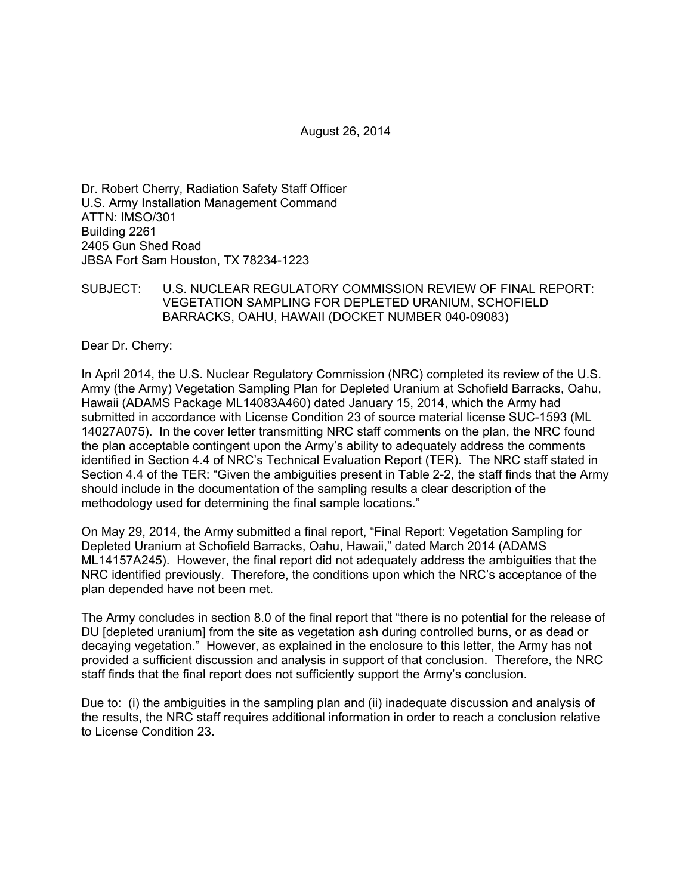August 26, 2014

Dr. Robert Cherry, Radiation Safety Staff Officer U.S. Army Installation Management Command ATTN: IMSO/301 Building 2261 2405 Gun Shed Road JBSA Fort Sam Houston, TX 78234-1223

### SUBJECT: U.S. NUCLEAR REGULATORY COMMISSION REVIEW OF FINAL REPORT: VEGETATION SAMPLING FOR DEPLETED URANIUM, SCHOFIELD BARRACKS, OAHU, HAWAII (DOCKET NUMBER 040-09083)

Dear Dr. Cherry:

In April 2014, the U.S. Nuclear Regulatory Commission (NRC) completed its review of the U.S. Army (the Army) Vegetation Sampling Plan for Depleted Uranium at Schofield Barracks, Oahu, Hawaii (ADAMS Package ML14083A460) dated January 15, 2014, which the Army had submitted in accordance with License Condition 23 of source material license SUC-1593 (ML 14027A075). In the cover letter transmitting NRC staff comments on the plan, the NRC found the plan acceptable contingent upon the Army's ability to adequately address the comments identified in Section 4.4 of NRC's Technical Evaluation Report (TER). The NRC staff stated in Section 4.4 of the TER: "Given the ambiguities present in Table 2-2, the staff finds that the Army should include in the documentation of the sampling results a clear description of the methodology used for determining the final sample locations."

On May 29, 2014, the Army submitted a final report, "Final Report: Vegetation Sampling for Depleted Uranium at Schofield Barracks, Oahu, Hawaii," dated March 2014 (ADAMS ML14157A245). However, the final report did not adequately address the ambiguities that the NRC identified previously. Therefore, the conditions upon which the NRC's acceptance of the plan depended have not been met.

The Army concludes in section 8.0 of the final report that "there is no potential for the release of DU [depleted uranium] from the site as vegetation ash during controlled burns, or as dead or decaying vegetation." However, as explained in the enclosure to this letter, the Army has not provided a sufficient discussion and analysis in support of that conclusion. Therefore, the NRC staff finds that the final report does not sufficiently support the Army's conclusion.

Due to: (i) the ambiguities in the sampling plan and (ii) inadequate discussion and analysis of the results, the NRC staff requires additional information in order to reach a conclusion relative to License Condition 23.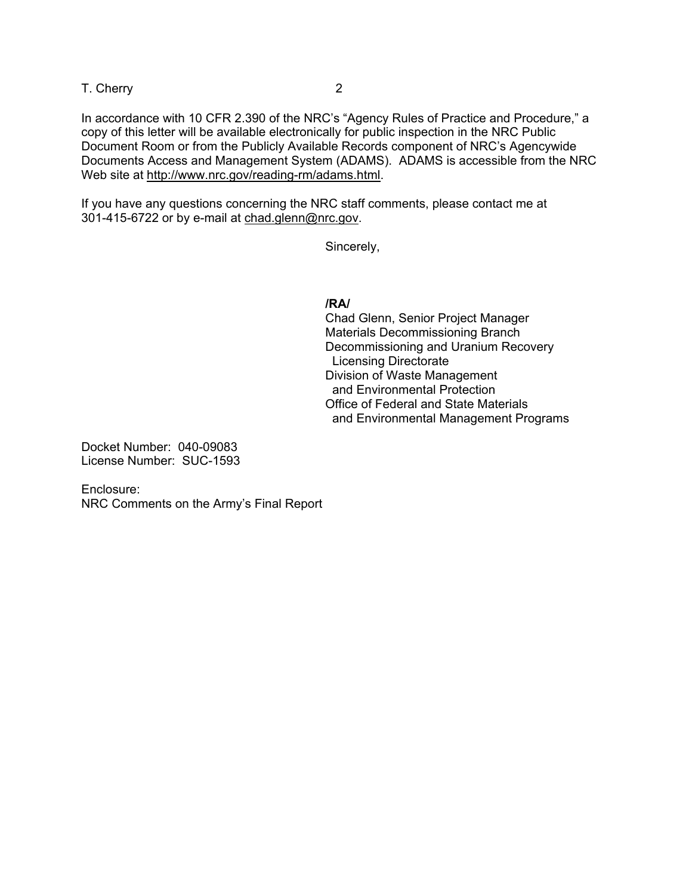T. Cherry 2

In accordance with 10 CFR 2.390 of the NRC's "Agency Rules of Practice and Procedure," a copy of this letter will be available electronically for public inspection in the NRC Public Document Room or from the Publicly Available Records component of NRC's Agencywide Documents Access and Management System (ADAMS). ADAMS is accessible from the NRC Web site at http://www.nrc.gov/reading-rm/adams.html.

If you have any questions concerning the NRC staff comments, please contact me at 301-415-6722 or by e-mail at chad.glenn@nrc.gov.

Sincerely,

#### **/RA/**

 Chad Glenn, Senior Project Manager Materials Decommissioning Branch Decommissioning and Uranium Recovery Licensing Directorate Division of Waste Management and Environmental Protection Office of Federal and State Materials and Environmental Management Programs

Docket Number: 040-09083 License Number: SUC-1593

Enclosure: NRC Comments on the Army's Final Report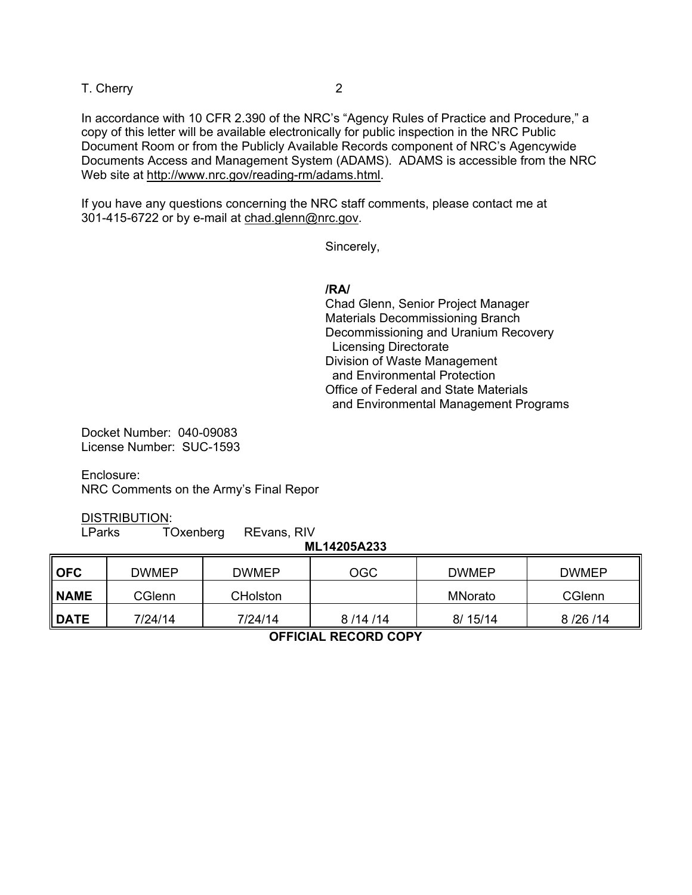T. Cherry 2

In accordance with 10 CFR 2.390 of the NRC's "Agency Rules of Practice and Procedure," a copy of this letter will be available electronically for public inspection in the NRC Public Document Room or from the Publicly Available Records component of NRC's Agencywide Documents Access and Management System (ADAMS). ADAMS is accessible from the NRC Web site at http://www.nrc.gov/reading-rm/adams.html.

If you have any questions concerning the NRC staff comments, please contact me at 301-415-6722 or by e-mail at chad.glenn@nrc.gov.

Sincerely,

#### **/RA/**

 Chad Glenn, Senior Project Manager Materials Decommissioning Branch Decommissioning and Uranium Recovery Licensing Directorate Division of Waste Management and Environmental Protection Office of Federal and State Materials and Environmental Management Programs

Docket Number: 040-09083 License Number: SUC-1593

Enclosure: NRC Comments on the Army's Final Repor

DISTRIBUTION:

LParks TOxenberg REvans, RIV

| ML14205A233 |  |
|-------------|--|
|             |  |

| $\blacksquare$ OFC | <b>DWMEP</b>  | <b>DWMEP</b>    | <b>OGC</b> | <b>DWMEP</b> | <b>DWMEP</b> |
|--------------------|---------------|-----------------|------------|--------------|--------------|
| <b>NAME</b>        | <b>CGlenn</b> | <b>CHolston</b> |            | MNorato      | CGlenn       |
| <b>I</b> DATE      | 7/24/14       | 7/24/14         | 8/14/14    | 8/15/14      | 8/26/14      |

**OFFICIAL RECORD COPY**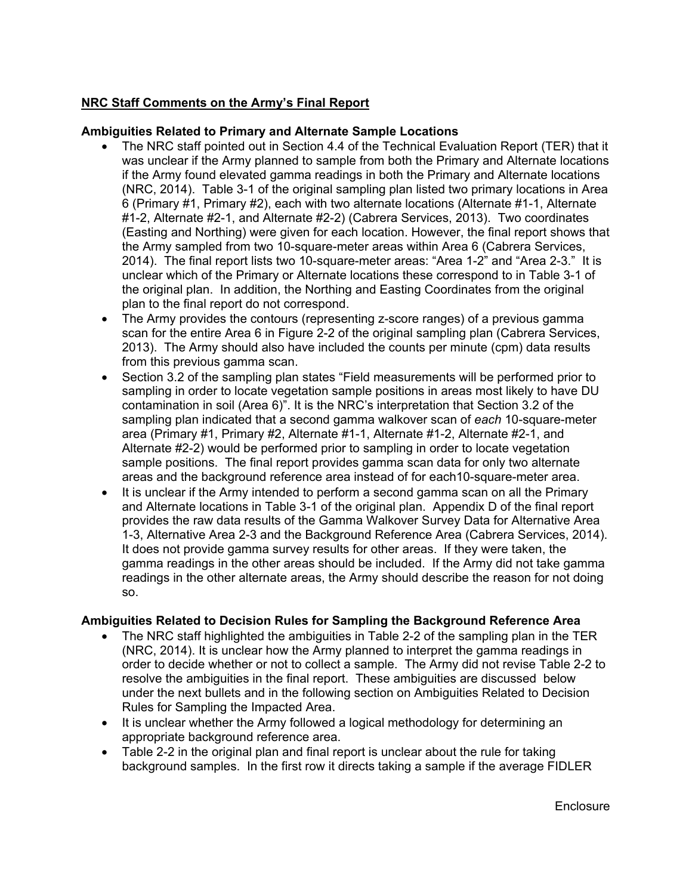# **NRC Staff Comments on the Army's Final Report**

## **Ambiguities Related to Primary and Alternate Sample Locations**

- The NRC staff pointed out in Section 4.4 of the Technical Evaluation Report (TER) that it was unclear if the Army planned to sample from both the Primary and Alternate locations if the Army found elevated gamma readings in both the Primary and Alternate locations (NRC, 2014). Table 3-1 of the original sampling plan listed two primary locations in Area 6 (Primary #1, Primary #2), each with two alternate locations (Alternate #1-1, Alternate #1-2, Alternate #2-1, and Alternate #2-2) (Cabrera Services, 2013). Two coordinates (Easting and Northing) were given for each location. However, the final report shows that the Army sampled from two 10-square-meter areas within Area 6 (Cabrera Services, 2014). The final report lists two 10-square-meter areas: "Area 1-2" and "Area 2-3." It is unclear which of the Primary or Alternate locations these correspond to in Table 3-1 of the original plan. In addition, the Northing and Easting Coordinates from the original plan to the final report do not correspond.
- The Army provides the contours (representing z-score ranges) of a previous gamma scan for the entire Area 6 in Figure 2-2 of the original sampling plan (Cabrera Services, 2013). The Army should also have included the counts per minute (cpm) data results from this previous gamma scan.
- Section 3.2 of the sampling plan states "Field measurements will be performed prior to sampling in order to locate vegetation sample positions in areas most likely to have DU contamination in soil (Area 6)". It is the NRC's interpretation that Section 3.2 of the sampling plan indicated that a second gamma walkover scan of *each* 10-square-meter area (Primary #1, Primary #2, Alternate #1-1, Alternate #1-2, Alternate #2-1, and Alternate #2-2) would be performed prior to sampling in order to locate vegetation sample positions. The final report provides gamma scan data for only two alternate areas and the background reference area instead of for each10-square-meter area.
- It is unclear if the Army intended to perform a second gamma scan on all the Primary and Alternate locations in Table 3-1 of the original plan. Appendix D of the final report provides the raw data results of the Gamma Walkover Survey Data for Alternative Area 1-3, Alternative Area 2-3 and the Background Reference Area (Cabrera Services, 2014). It does not provide gamma survey results for other areas. If they were taken, the gamma readings in the other areas should be included. If the Army did not take gamma readings in the other alternate areas, the Army should describe the reason for not doing so.

## **Ambiguities Related to Decision Rules for Sampling the Background Reference Area**

- The NRC staff highlighted the ambiguities in Table 2-2 of the sampling plan in the TER (NRC, 2014). It is unclear how the Army planned to interpret the gamma readings in order to decide whether or not to collect a sample. The Army did not revise Table 2-2 to resolve the ambiguities in the final report. These ambiguities are discussed below under the next bullets and in the following section on Ambiguities Related to Decision Rules for Sampling the Impacted Area.
- It is unclear whether the Army followed a logical methodology for determining an appropriate background reference area.
- Table 2-2 in the original plan and final report is unclear about the rule for taking background samples. In the first row it directs taking a sample if the average FIDLER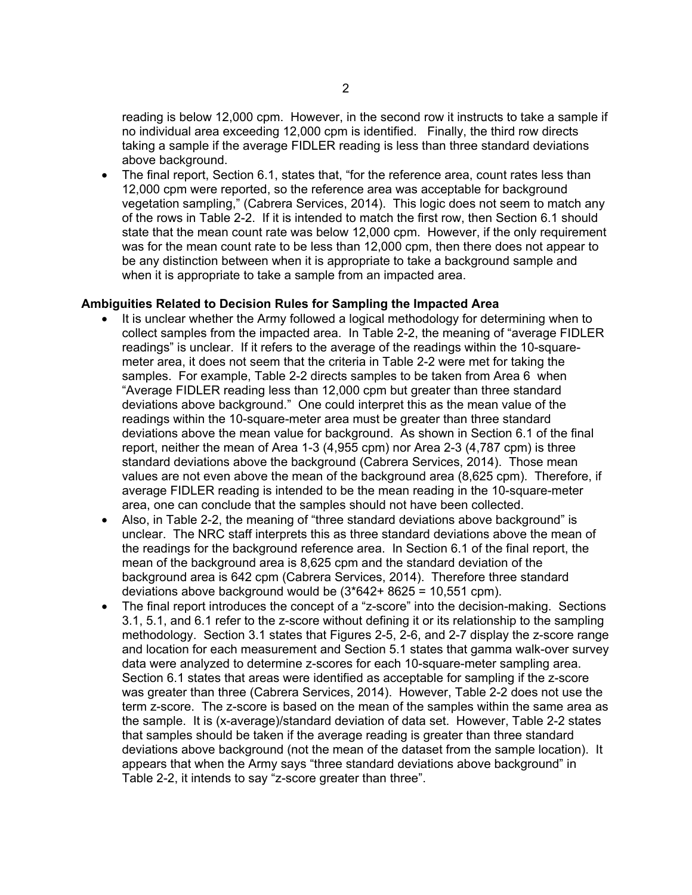reading is below 12,000 cpm. However, in the second row it instructs to take a sample if no individual area exceeding 12,000 cpm is identified. Finally, the third row directs taking a sample if the average FIDLER reading is less than three standard deviations above background.

• The final report, Section 6.1, states that, "for the reference area, count rates less than 12,000 cpm were reported, so the reference area was acceptable for background vegetation sampling," (Cabrera Services, 2014). This logic does not seem to match any of the rows in Table 2-2. If it is intended to match the first row, then Section 6.1 should state that the mean count rate was below 12,000 cpm. However, if the only requirement was for the mean count rate to be less than 12,000 cpm, then there does not appear to be any distinction between when it is appropriate to take a background sample and when it is appropriate to take a sample from an impacted area.

#### **Ambiguities Related to Decision Rules for Sampling the Impacted Area**

- It is unclear whether the Army followed a logical methodology for determining when to collect samples from the impacted area. In Table 2-2, the meaning of "average FIDLER readings" is unclear. If it refers to the average of the readings within the 10-squaremeter area, it does not seem that the criteria in Table 2-2 were met for taking the samples. For example, Table 2-2 directs samples to be taken from Area 6 when "Average FIDLER reading less than 12,000 cpm but greater than three standard deviations above background." One could interpret this as the mean value of the readings within the 10-square-meter area must be greater than three standard deviations above the mean value for background. As shown in Section 6.1 of the final report, neither the mean of Area 1-3 (4,955 cpm) nor Area 2-3 (4,787 cpm) is three standard deviations above the background (Cabrera Services, 2014). Those mean values are not even above the mean of the background area (8,625 cpm). Therefore, if average FIDLER reading is intended to be the mean reading in the 10-square-meter area, one can conclude that the samples should not have been collected.
- Also, in Table 2-2, the meaning of "three standard deviations above background" is unclear. The NRC staff interprets this as three standard deviations above the mean of the readings for the background reference area. In Section 6.1 of the final report, the mean of the background area is 8,625 cpm and the standard deviation of the background area is 642 cpm (Cabrera Services, 2014). Therefore three standard deviations above background would be (3\*642+ 8625 = 10,551 cpm).
- The final report introduces the concept of a "z-score" into the decision-making. Sections 3.1, 5.1, and 6.1 refer to the z-score without defining it or its relationship to the sampling methodology. Section 3.1 states that Figures 2-5, 2-6, and 2-7 display the z-score range and location for each measurement and Section 5.1 states that gamma walk-over survey data were analyzed to determine z-scores for each 10-square-meter sampling area. Section 6.1 states that areas were identified as acceptable for sampling if the z-score was greater than three (Cabrera Services, 2014). However, Table 2-2 does not use the term z-score. The z-score is based on the mean of the samples within the same area as the sample. It is (x-average)/standard deviation of data set. However, Table 2-2 states that samples should be taken if the average reading is greater than three standard deviations above background (not the mean of the dataset from the sample location). It appears that when the Army says "three standard deviations above background" in Table 2-2, it intends to say "z-score greater than three".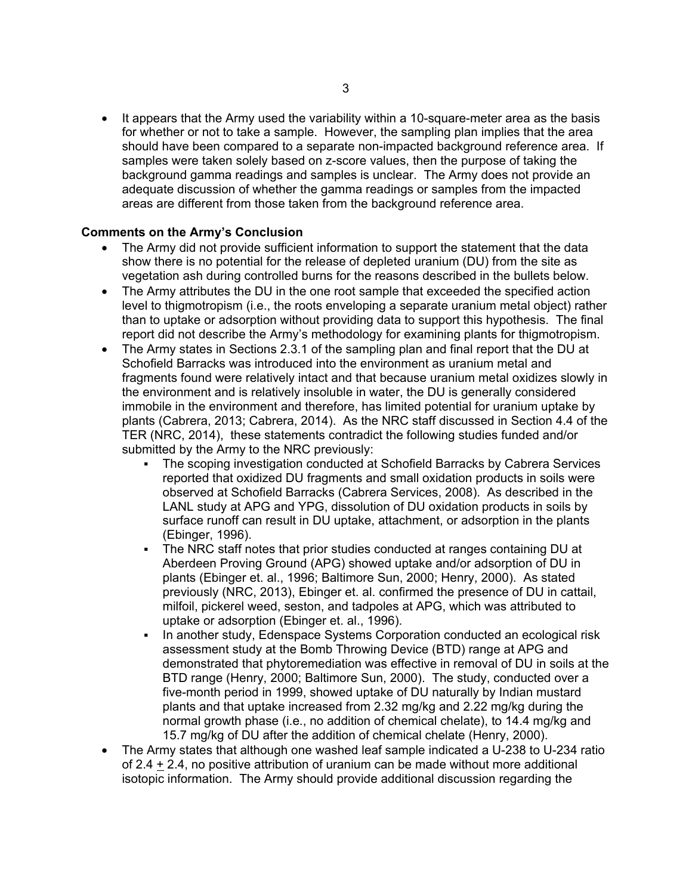• It appears that the Army used the variability within a 10-square-meter area as the basis for whether or not to take a sample. However, the sampling plan implies that the area should have been compared to a separate non-impacted background reference area. If samples were taken solely based on z-score values, then the purpose of taking the background gamma readings and samples is unclear. The Army does not provide an adequate discussion of whether the gamma readings or samples from the impacted areas are different from those taken from the background reference area.

## **Comments on the Army's Conclusion**

- The Army did not provide sufficient information to support the statement that the data show there is no potential for the release of depleted uranium (DU) from the site as vegetation ash during controlled burns for the reasons described in the bullets below.
- The Army attributes the DU in the one root sample that exceeded the specified action level to thigmotropism (i.e., the roots enveloping a separate uranium metal object) rather than to uptake or adsorption without providing data to support this hypothesis. The final report did not describe the Army's methodology for examining plants for thigmotropism.
- The Army states in Sections 2.3.1 of the sampling plan and final report that the DU at Schofield Barracks was introduced into the environment as uranium metal and fragments found were relatively intact and that because uranium metal oxidizes slowly in the environment and is relatively insoluble in water, the DU is generally considered immobile in the environment and therefore, has limited potential for uranium uptake by plants (Cabrera, 2013; Cabrera, 2014). As the NRC staff discussed in Section 4.4 of the TER (NRC, 2014), these statements contradict the following studies funded and/or submitted by the Army to the NRC previously:
	- The scoping investigation conducted at Schofield Barracks by Cabrera Services reported that oxidized DU fragments and small oxidation products in soils were observed at Schofield Barracks (Cabrera Services, 2008). As described in the LANL study at APG and YPG, dissolution of DU oxidation products in soils by surface runoff can result in DU uptake, attachment, or adsorption in the plants (Ebinger, 1996).
	- The NRC staff notes that prior studies conducted at ranges containing DU at Aberdeen Proving Ground (APG) showed uptake and/or adsorption of DU in plants (Ebinger et. al., 1996; Baltimore Sun, 2000; Henry, 2000). As stated previously (NRC, 2013), Ebinger et. al. confirmed the presence of DU in cattail, milfoil, pickerel weed, seston, and tadpoles at APG, which was attributed to uptake or adsorption (Ebinger et. al., 1996).
	- In another study, Edenspace Systems Corporation conducted an ecological risk assessment study at the Bomb Throwing Device (BTD) range at APG and demonstrated that phytoremediation was effective in removal of DU in soils at the BTD range (Henry, 2000; Baltimore Sun, 2000). The study, conducted over a five-month period in 1999, showed uptake of DU naturally by Indian mustard plants and that uptake increased from 2.32 mg/kg and 2.22 mg/kg during the normal growth phase (i.e., no addition of chemical chelate), to 14.4 mg/kg and 15.7 mg/kg of DU after the addition of chemical chelate (Henry, 2000).
- The Army states that although one washed leaf sample indicated a U-238 to U-234 ratio of 2.4  $\pm$  2.4, no positive attribution of uranium can be made without more additional isotopic information. The Army should provide additional discussion regarding the